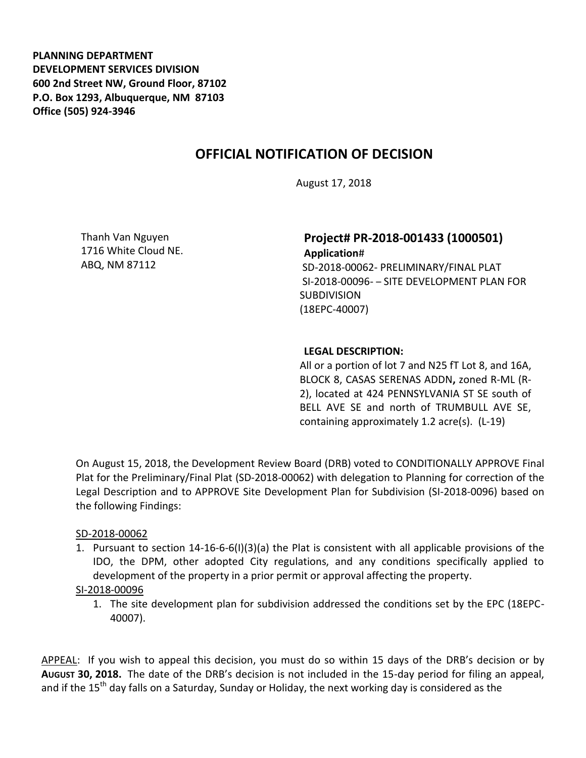**PLANNING DEPARTMENT DEVELOPMENT SERVICES DIVISION 600 2nd Street NW, Ground Floor, 87102 P.O. Box 1293, Albuquerque, NM 87103 Office (505) 924-3946** 

# **OFFICIAL NOTIFICATION OF DECISION**

August 17, 2018

Thanh Van Nguyen 1716 White Cloud NE. ABQ, NM 87112

## **Project# PR-2018-001433 (1000501) Application**#

SD-2018-00062- PRELIMINARY/FINAL PLAT SI-2018-00096- – SITE DEVELOPMENT PLAN FOR **SUBDIVISION** (18EPC-40007)

### **LEGAL DESCRIPTION:**

All or a portion of lot 7 and N25 fT Lot 8, and 16A, BLOCK 8, CASAS SERENAS ADDN**,** zoned R-ML (R-2), located at 424 PENNSYLVANIA ST SE south of BELL AVE SE and north of TRUMBULL AVE SE, containing approximately 1.2 acre(s). (L-19)

On August 15, 2018, the Development Review Board (DRB) voted to CONDITIONALLY APPROVE Final Plat for the Preliminary/Final Plat (SD-2018-00062) with delegation to Planning for correction of the Legal Description and to APPROVE Site Development Plan for Subdivision (SI-2018-0096) based on the following Findings:

### SD-2018-00062

1. Pursuant to section 14-16-6-6(I)(3)(a) the Plat is consistent with all applicable provisions of the IDO, the DPM, other adopted City regulations, and any conditions specifically applied to development of the property in a prior permit or approval affecting the property.

#### SI-2018-00096

1. The site development plan for subdivision addressed the conditions set by the EPC (18EPC-40007).

APPEAL: If you wish to appeal this decision, you must do so within 15 days of the DRB's decision or by **AUGUST 30, 2018.** The date of the DRB's decision is not included in the 15-day period for filing an appeal, and if the 15<sup>th</sup> day falls on a Saturday, Sunday or Holiday, the next working day is considered as the